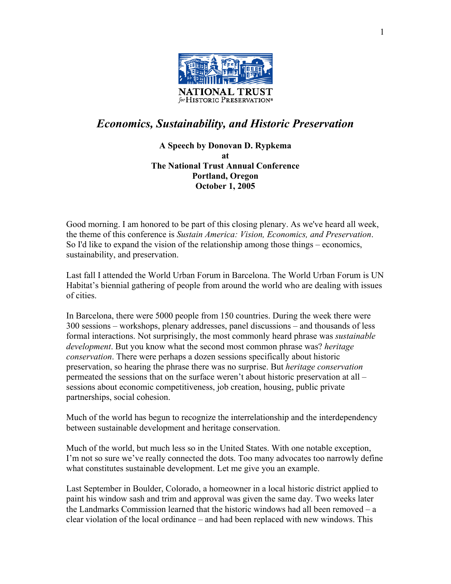

## *Economics, Sustainability, and Historic Preservation*

**A Speech by Donovan D. Rypkema at The National Trust Annual Conference Portland, Oregon October 1, 2005** 

Good morning. I am honored to be part of this closing plenary. As we've heard all week, the theme of this conference is *Sustain America: Vision, Economics, and Preservation*. So I'd like to expand the vision of the relationship among those things – economics, sustainability, and preservation.

Last fall I attended the World Urban Forum in Barcelona. The World Urban Forum is UN Habitat's biennial gathering of people from around the world who are dealing with issues of cities.

In Barcelona, there were 5000 people from 150 countries. During the week there were 300 sessions – workshops, plenary addresses, panel discussions – and thousands of less formal interactions. Not surprisingly, the most commonly heard phrase was *sustainable development*. But you know what the second most common phrase was? *heritage conservation*. There were perhaps a dozen sessions specifically about historic preservation, so hearing the phrase there was no surprise. But *heritage conservation* permeated the sessions that on the surface weren't about historic preservation at all – sessions about economic competitiveness, job creation, housing, public private partnerships, social cohesion.

Much of the world has begun to recognize the interrelationship and the interdependency between sustainable development and heritage conservation.

Much of the world, but much less so in the United States. With one notable exception, I'm not so sure we've really connected the dots. Too many advocates too narrowly define what constitutes sustainable development. Let me give you an example.

Last September in Boulder, Colorado, a homeowner in a local historic district applied to paint his window sash and trim and approval was given the same day. Two weeks later the Landmarks Commission learned that the historic windows had all been removed – a clear violation of the local ordinance – and had been replaced with new windows. This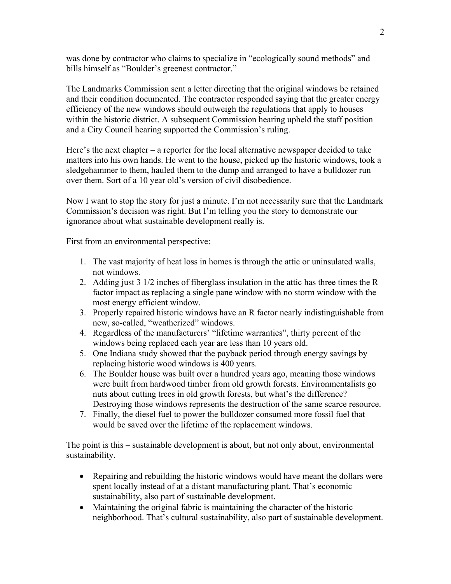was done by contractor who claims to specialize in "ecologically sound methods" and bills himself as "Boulder's greenest contractor."

The Landmarks Commission sent a letter directing that the original windows be retained and their condition documented. The contractor responded saying that the greater energy efficiency of the new windows should outweigh the regulations that apply to houses within the historic district. A subsequent Commission hearing upheld the staff position and a City Council hearing supported the Commission's ruling.

Here's the next chapter – a reporter for the local alternative newspaper decided to take matters into his own hands. He went to the house, picked up the historic windows, took a sledgehammer to them, hauled them to the dump and arranged to have a bulldozer run over them. Sort of a 10 year old's version of civil disobedience.

Now I want to stop the story for just a minute. I'm not necessarily sure that the Landmark Commission's decision was right. But I'm telling you the story to demonstrate our ignorance about what sustainable development really is.

First from an environmental perspective:

- 1. The vast majority of heat loss in homes is through the attic or uninsulated walls, not windows.
- 2. Adding just 3 1/2 inches of fiberglass insulation in the attic has three times the R factor impact as replacing a single pane window with no storm window with the most energy efficient window.
- 3. Properly repaired historic windows have an R factor nearly indistinguishable from new, so-called, "weatherized" windows.
- 4. Regardless of the manufacturers' "lifetime warranties", thirty percent of the windows being replaced each year are less than 10 years old.
- 5. One Indiana study showed that the payback period through energy savings by replacing historic wood windows is 400 years.
- 6. The Boulder house was built over a hundred years ago, meaning those windows were built from hardwood timber from old growth forests. Environmentalists go nuts about cutting trees in old growth forests, but what's the difference? Destroying those windows represents the destruction of the same scarce resource.
- 7. Finally, the diesel fuel to power the bulldozer consumed more fossil fuel that would be saved over the lifetime of the replacement windows.

The point is this – sustainable development is about, but not only about, environmental sustainability.

- Repairing and rebuilding the historic windows would have meant the dollars were spent locally instead of at a distant manufacturing plant. That's economic sustainability, also part of sustainable development.
- Maintaining the original fabric is maintaining the character of the historic neighborhood. That's cultural sustainability, also part of sustainable development.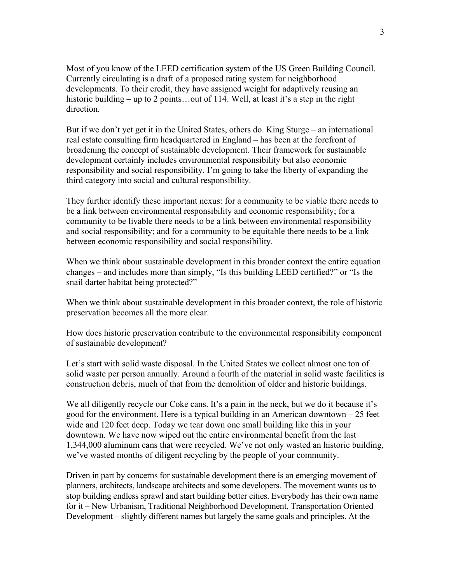Most of you know of the LEED certification system of the US Green Building Council. Currently circulating is a draft of a proposed rating system for neighborhood developments. To their credit, they have assigned weight for adaptively reusing an historic building – up to 2 points...out of 114. Well, at least it's a step in the right direction.

But if we don't yet get it in the United States, others do. King Sturge – an international real estate consulting firm headquartered in England – has been at the forefront of broadening the concept of sustainable development. Their framework for sustainable development certainly includes environmental responsibility but also economic responsibility and social responsibility. I'm going to take the liberty of expanding the third category into social and cultural responsibility.

They further identify these important nexus: for a community to be viable there needs to be a link between environmental responsibility and economic responsibility; for a community to be livable there needs to be a link between environmental responsibility and social responsibility; and for a community to be equitable there needs to be a link between economic responsibility and social responsibility.

When we think about sustainable development in this broader context the entire equation changes – and includes more than simply, "Is this building LEED certified?" or "Is the snail darter habitat being protected?"

When we think about sustainable development in this broader context, the role of historic preservation becomes all the more clear.

How does historic preservation contribute to the environmental responsibility component of sustainable development?

Let's start with solid waste disposal. In the United States we collect almost one ton of solid waste per person annually. Around a fourth of the material in solid waste facilities is construction debris, much of that from the demolition of older and historic buildings.

We all diligently recycle our Coke cans. It's a pain in the neck, but we do it because it's good for the environment. Here is a typical building in an American downtown – 25 feet wide and 120 feet deep. Today we tear down one small building like this in your downtown. We have now wiped out the entire environmental benefit from the last 1,344,000 aluminum cans that were recycled. We've not only wasted an historic building, we've wasted months of diligent recycling by the people of your community.

Driven in part by concerns for sustainable development there is an emerging movement of planners, architects, landscape architects and some developers. The movement wants us to stop building endless sprawl and start building better cities. Everybody has their own name for it – New Urbanism, Traditional Neighborhood Development, Transportation Oriented Development – slightly different names but largely the same goals and principles. At the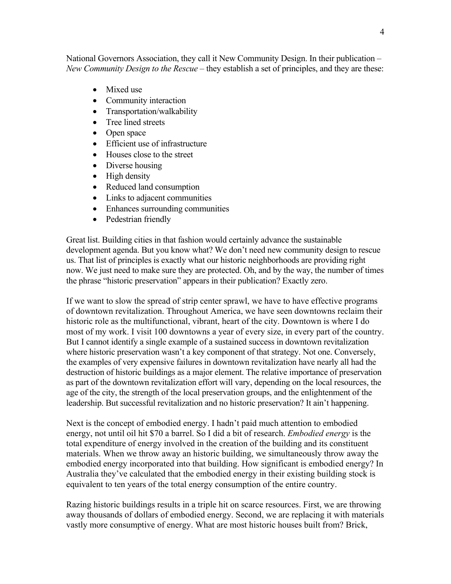National Governors Association, they call it New Community Design. In their publication – *New Community Design to the Rescue* – they establish a set of principles, and they are these:

- Mixed use
- Community interaction
- Transportation/walkability
- Tree lined streets
- Open space
- Efficient use of infrastructure
- Houses close to the street
- Diverse housing
- High density
- Reduced land consumption
- Links to adjacent communities
- Enhances surrounding communities
- Pedestrian friendly

Great list. Building cities in that fashion would certainly advance the sustainable development agenda. But you know what? We don't need new community design to rescue us. That list of principles is exactly what our historic neighborhoods are providing right now. We just need to make sure they are protected. Oh, and by the way, the number of times the phrase "historic preservation" appears in their publication? Exactly zero.

If we want to slow the spread of strip center sprawl, we have to have effective programs of downtown revitalization. Throughout America, we have seen downtowns reclaim their historic role as the multifunctional, vibrant, heart of the city. Downtown is where I do most of my work. I visit 100 downtowns a year of every size, in every part of the country. But I cannot identify a single example of a sustained success in downtown revitalization where historic preservation wasn't a key component of that strategy. Not one. Conversely, the examples of very expensive failures in downtown revitalization have nearly all had the destruction of historic buildings as a major element. The relative importance of preservation as part of the downtown revitalization effort will vary, depending on the local resources, the age of the city, the strength of the local preservation groups, and the enlightenment of the leadership. But successful revitalization and no historic preservation? It ain't happening.

Next is the concept of embodied energy. I hadn't paid much attention to embodied energy, not until oil hit \$70 a barrel. So I did a bit of research. *Embodied energy* is the total expenditure of energy involved in the creation of the building and its constituent materials. When we throw away an historic building, we simultaneously throw away the embodied energy incorporated into that building. How significant is embodied energy? In Australia they've calculated that the embodied energy in their existing building stock is equivalent to ten years of the total energy consumption of the entire country.

Razing historic buildings results in a triple hit on scarce resources. First, we are throwing away thousands of dollars of embodied energy. Second, we are replacing it with materials vastly more consumptive of energy. What are most historic houses built from? Brick,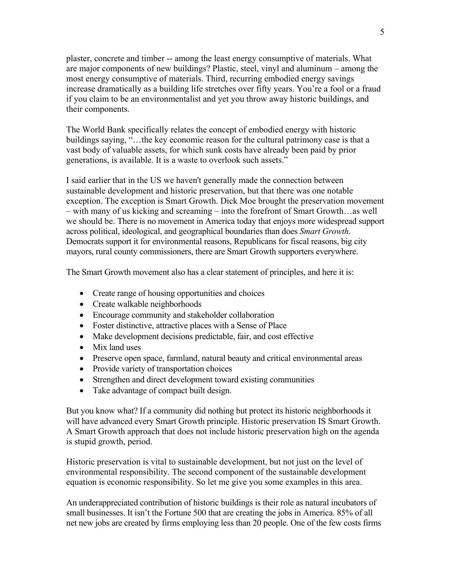plaster, concrete and timber -- among the least energy consumptive of materials. What are major components of new buildings? Plastic, steel, vinyl and aluminum – among the most energy consumptive of materials. Third, recurring embodied energy savings increase dramatically as a building life stretches over fifty years. You're a fool or a fraud if you claim to be an environmentalist and yet you throw away historic buildings, and their components.

The World Bank specifically relates the concept of embodied energy with historic buildings saying, "…the key economic reason for the cultural patrimony case is that a vast body of valuable assets, for which sunk costs have already been paid by prior generations, is available. It is a waste to overlook such assets."

I said earlier that in the US we haven't generally made the connection between sustainable development and historic preservation, but that there was one notable exception. The exception is Smart Growth. Dick Moe brought the preservation movement – with many of us kicking and screaming – into the forefront of Smart Growth…as well we should be. There is no movement in America today that enjoys more widespread support across political, ideological, and geographical boundaries than does *Smart Growth*. Democrats support it for environmental reasons, Republicans for fiscal reasons, big city mayors, rural county commissioners, there are Smart Growth supporters everywhere.

The Smart Growth movement also has a clear statement of principles, and here it is:

- Create range of housing opportunities and choices
- Create walkable neighborhoods
- Encourage community and stakeholder collaboration
- Foster distinctive, attractive places with a Sense of Place
- Make development decisions predictable, fair, and cost effective
- Mix land uses
- Preserve open space, farmland, natural beauty and critical environmental areas
- Provide variety of transportation choices
- Strengthen and direct development toward existing communities
- Take advantage of compact built design.

But you know what? If a community did nothing but protect its historic neighborhoods it will have advanced every Smart Growth principle. Historic preservation IS Smart Growth. A Smart Growth approach that does not include historic preservation high on the agenda is stupid growth, period.

Historic preservation is vital to sustainable development, but not just on the level of environmental responsibility. The second component of the sustainable development equation is economic responsibility. So let me give you some examples in this area.

An underappreciated contribution of historic buildings is their role as natural incubators of small businesses. It isn't the Fortune 500 that are creating the jobs in America. 85% of all net new jobs are created by firms employing less than 20 people. One of the few costs firms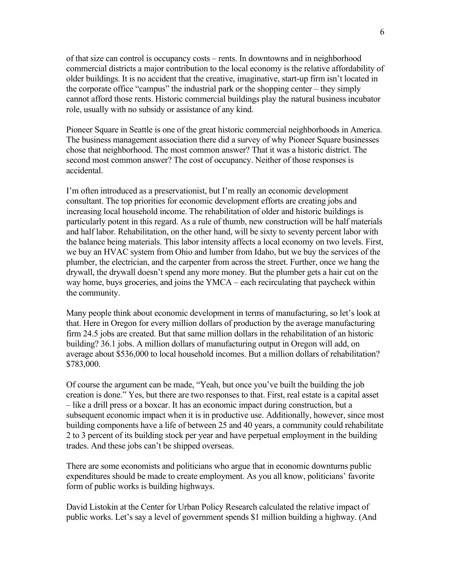of that size can control is occupancy costs – rents. In downtowns and in neighborhood commercial districts a major contribution to the local economy is the relative affordability of older buildings. It is no accident that the creative, imaginative, start-up firm isn't located in the corporate office "campus" the industrial park or the shopping center – they simply cannot afford those rents. Historic commercial buildings play the natural business incubator role, usually with no subsidy or assistance of any kind.

Pioneer Square in Seattle is one of the great historic commercial neighborhoods in America. The business management association there did a survey of why Pioneer Square businesses chose that neighborhood. The most common answer? That it was a historic district. The second most common answer? The cost of occupancy. Neither of those responses is accidental.

I'm often introduced as a preservationist, but I'm really an economic development consultant. The top priorities for economic development efforts are creating jobs and increasing local household income. The rehabilitation of older and historic buildings is particularly potent in this regard. As a rule of thumb, new construction will be half materials and half labor. Rehabilitation, on the other hand, will be sixty to seventy percent labor with the balance being materials. This labor intensity affects a local economy on two levels. First, we buy an HVAC system from Ohio and lumber from Idaho, but we buy the services of the plumber, the electrician, and the carpenter from across the street. Further, once we hang the drywall, the drywall doesn't spend any more money. But the plumber gets a hair cut on the way home, buys groceries, and joins the YMCA – each recirculating that paycheck within the community.

Many people think about economic development in terms of manufacturing, so let's look at that. Here in Oregon for every million dollars of production by the average manufacturing firm 24.5 jobs are created. But that same million dollars in the rehabilitation of an historic building? 36.1 jobs. A million dollars of manufacturing output in Oregon will add, on average about \$536,000 to local household incomes. But a million dollars of rehabilitation? \$783,000.

Of course the argument can be made, "Yeah, but once you've built the building the job creation is done." Yes, but there are two responses to that. First, real estate is a capital asset – like a drill press or a boxcar. It has an economic impact during construction, but a subsequent economic impact when it is in productive use. Additionally, however, since most building components have a life of between 25 and 40 years, a community could rehabilitate 2 to 3 percent of its building stock per year and have perpetual employment in the building trades. And these jobs can't be shipped overseas.

There are some economists and politicians who argue that in economic downturns public expenditures should be made to create employment. As you all know, politicians' favorite form of public works is building highways.

David Listokin at the Center for Urban Policy Research calculated the relative impact of public works. Let's say a level of government spends \$1 million building a highway. (And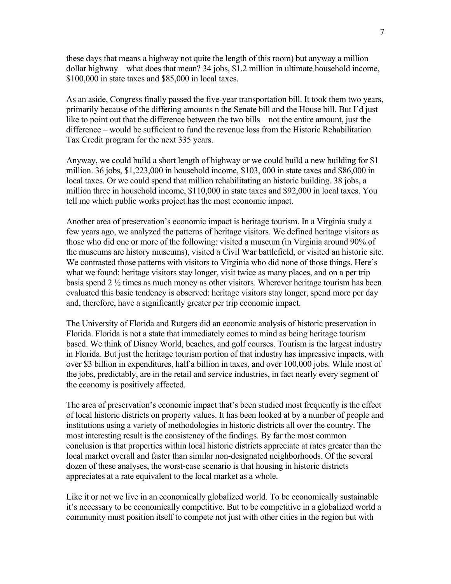these days that means a highway not quite the length of this room) but anyway a million dollar highway – what does that mean? 34 jobs, \$1.2 million in ultimate household income, \$100,000 in state taxes and \$85,000 in local taxes.

As an aside, Congress finally passed the five-year transportation bill. It took them two years, primarily because of the differing amounts n the Senate bill and the House bill. But I'd just like to point out that the difference between the two bills – not the entire amount, just the difference – would be sufficient to fund the revenue loss from the Historic Rehabilitation Tax Credit program for the next 335 years.

Anyway, we could build a short length of highway or we could build a new building for \$1 million. 36 jobs, \$1,223,000 in household income, \$103, 000 in state taxes and \$86,000 in local taxes. Or we could spend that million rehabilitating an historic building. 38 jobs, a million three in household income, \$110,000 in state taxes and \$92,000 in local taxes. You tell me which public works project has the most economic impact.

Another area of preservation's economic impact is heritage tourism. In a Virginia study a few years ago, we analyzed the patterns of heritage visitors. We defined heritage visitors as those who did one or more of the following: visited a museum (in Virginia around 90% of the museums are history museums), visited a Civil War battlefield, or visited an historic site. We contrasted those patterns with visitors to Virginia who did none of those things. Here's what we found: heritage visitors stay longer, visit twice as many places, and on a per trip basis spend 2 ½ times as much money as other visitors. Wherever heritage tourism has been evaluated this basic tendency is observed: heritage visitors stay longer, spend more per day and, therefore, have a significantly greater per trip economic impact.

The University of Florida and Rutgers did an economic analysis of historic preservation in Florida. Florida is not a state that immediately comes to mind as being heritage tourism based. We think of Disney World, beaches, and golf courses. Tourism is the largest industry in Florida. But just the heritage tourism portion of that industry has impressive impacts, with over \$3 billion in expenditures, half a billion in taxes, and over 100,000 jobs. While most of the jobs, predictably, are in the retail and service industries, in fact nearly every segment of the economy is positively affected.

The area of preservation's economic impact that's been studied most frequently is the effect of local historic districts on property values. It has been looked at by a number of people and institutions using a variety of methodologies in historic districts all over the country. The most interesting result is the consistency of the findings. By far the most common conclusion is that properties within local historic districts appreciate at rates greater than the local market overall and faster than similar non-designated neighborhoods. Of the several dozen of these analyses, the worst-case scenario is that housing in historic districts appreciates at a rate equivalent to the local market as a whole.

Like it or not we live in an economically globalized world. To be economically sustainable it's necessary to be economically competitive. But to be competitive in a globalized world a community must position itself to compete not just with other cities in the region but with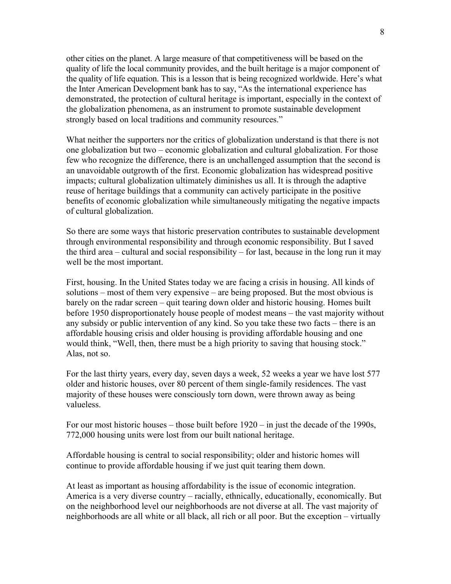other cities on the planet. A large measure of that competitiveness will be based on the quality of life the local community provides, and the built heritage is a major component of the quality of life equation. This is a lesson that is being recognized worldwide. Here's what the Inter American Development bank has to say, "As the international experience has demonstrated, the protection of cultural heritage is important, especially in the context of the globalization phenomena, as an instrument to promote sustainable development strongly based on local traditions and community resources."

What neither the supporters nor the critics of globalization understand is that there is not one globalization but two – economic globalization and cultural globalization. For those few who recognize the difference, there is an unchallenged assumption that the second is an unavoidable outgrowth of the first. Economic globalization has widespread positive impacts; cultural globalization ultimately diminishes us all. It is through the adaptive reuse of heritage buildings that a community can actively participate in the positive benefits of economic globalization while simultaneously mitigating the negative impacts of cultural globalization.

So there are some ways that historic preservation contributes to sustainable development through environmental responsibility and through economic responsibility. But I saved the third area – cultural and social responsibility – for last, because in the long run it may well be the most important.

First, housing. In the United States today we are facing a crisis in housing. All kinds of solutions – most of them very expensive – are being proposed. But the most obvious is barely on the radar screen – quit tearing down older and historic housing. Homes built before 1950 disproportionately house people of modest means – the vast majority without any subsidy or public intervention of any kind. So you take these two facts – there is an affordable housing crisis and older housing is providing affordable housing and one would think, "Well, then, there must be a high priority to saving that housing stock." Alas, not so.

For the last thirty years, every day, seven days a week, 52 weeks a year we have lost 577 older and historic houses, over 80 percent of them single-family residences. The vast majority of these houses were consciously torn down, were thrown away as being valueless.

For our most historic houses – those built before 1920 – in just the decade of the 1990s, 772,000 housing units were lost from our built national heritage.

Affordable housing is central to social responsibility; older and historic homes will continue to provide affordable housing if we just quit tearing them down.

At least as important as housing affordability is the issue of economic integration. America is a very diverse country – racially, ethnically, educationally, economically. But on the neighborhood level our neighborhoods are not diverse at all. The vast majority of neighborhoods are all white or all black, all rich or all poor. But the exception – virtually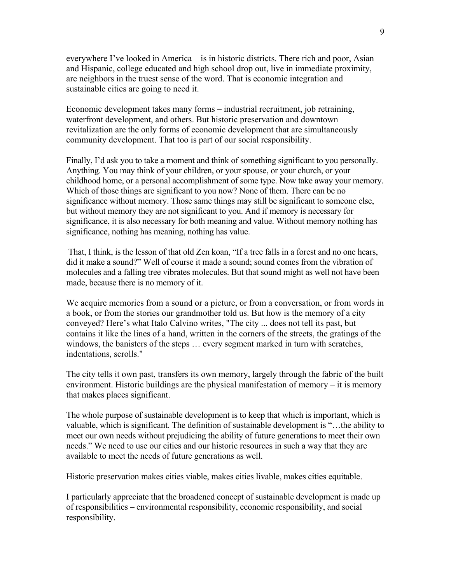everywhere I've looked in America – is in historic districts. There rich and poor, Asian and Hispanic, college educated and high school drop out, live in immediate proximity, are neighbors in the truest sense of the word. That is economic integration and sustainable cities are going to need it.

Economic development takes many forms – industrial recruitment, job retraining, waterfront development, and others. But historic preservation and downtown revitalization are the only forms of economic development that are simultaneously community development. That too is part of our social responsibility.

Finally, I'd ask you to take a moment and think of something significant to you personally. Anything. You may think of your children, or your spouse, or your church, or your childhood home, or a personal accomplishment of some type. Now take away your memory. Which of those things are significant to you now? None of them. There can be no significance without memory. Those same things may still be significant to someone else, but without memory they are not significant to you. And if memory is necessary for significance, it is also necessary for both meaning and value. Without memory nothing has significance, nothing has meaning, nothing has value.

 That, I think, is the lesson of that old Zen koan, "If a tree falls in a forest and no one hears, did it make a sound?" Well of course it made a sound; sound comes from the vibration of molecules and a falling tree vibrates molecules. But that sound might as well not have been made, because there is no memory of it.

We acquire memories from a sound or a picture, or from a conversation, or from words in a book, or from the stories our grandmother told us. But how is the memory of a city conveyed? Here's what Italo Calvino writes, "The city ... does not tell its past, but contains it like the lines of a hand, written in the corners of the streets, the gratings of the windows, the banisters of the steps … every segment marked in turn with scratches, indentations, scrolls."

The city tells it own past, transfers its own memory, largely through the fabric of the built environment. Historic buildings are the physical manifestation of memory – it is memory that makes places significant.

The whole purpose of sustainable development is to keep that which is important, which is valuable, which is significant. The definition of sustainable development is "…the ability to meet our own needs without prejudicing the ability of future generations to meet their own needs." We need to use our cities and our historic resources in such a way that they are available to meet the needs of future generations as well.

Historic preservation makes cities viable, makes cities livable, makes cities equitable.

I particularly appreciate that the broadened concept of sustainable development is made up of responsibilities – environmental responsibility, economic responsibility, and social responsibility.